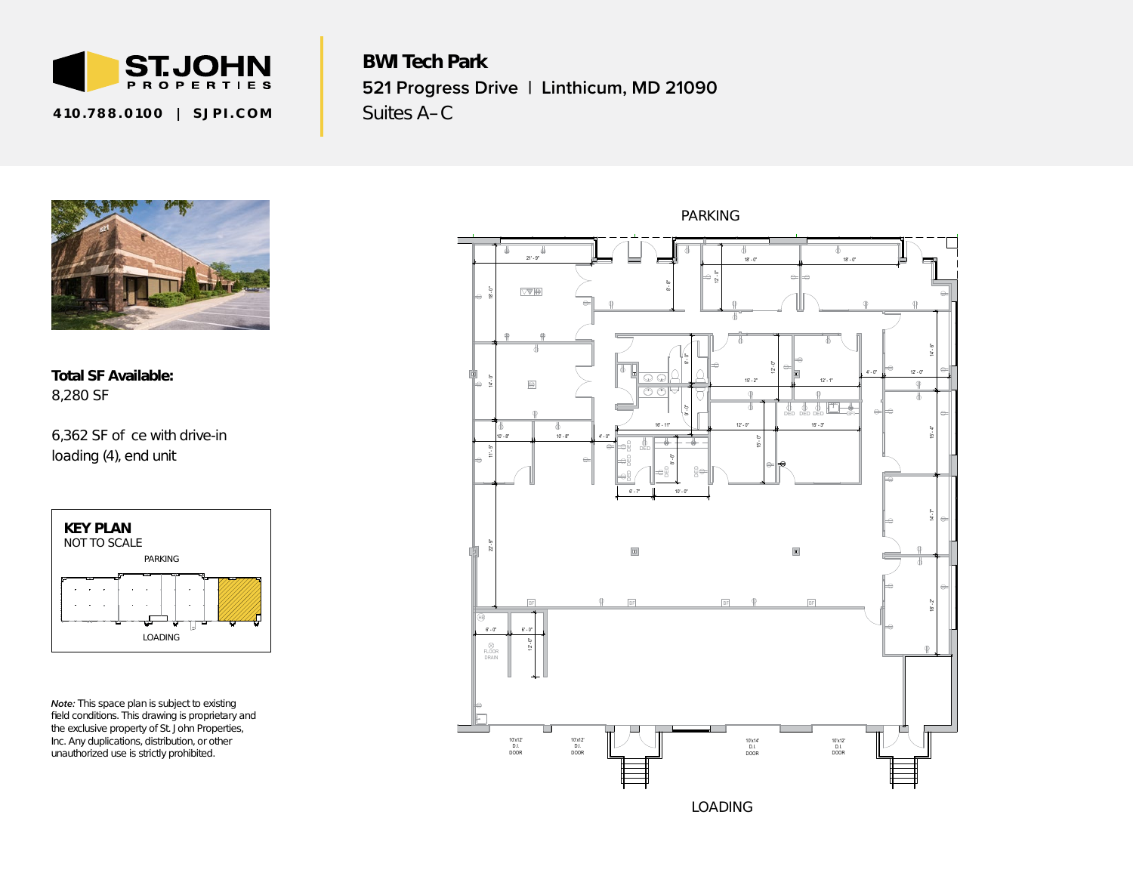

410.788.0100 SJPI.COM

BWI Tech Park **521 Progress Drive | Linthicum, MD 21090** Suites A–C



Total SF Available: 8,280 SF

6,362 SF o ce with drive-in *loading (4), end unit*



*Note: This space plan is subject to existing field conditions. This drawing is proprietary and the exclusive property of St. John Properties, Inc. Any duplications, distribution, or other unauthorized use is strictly prohibited.*